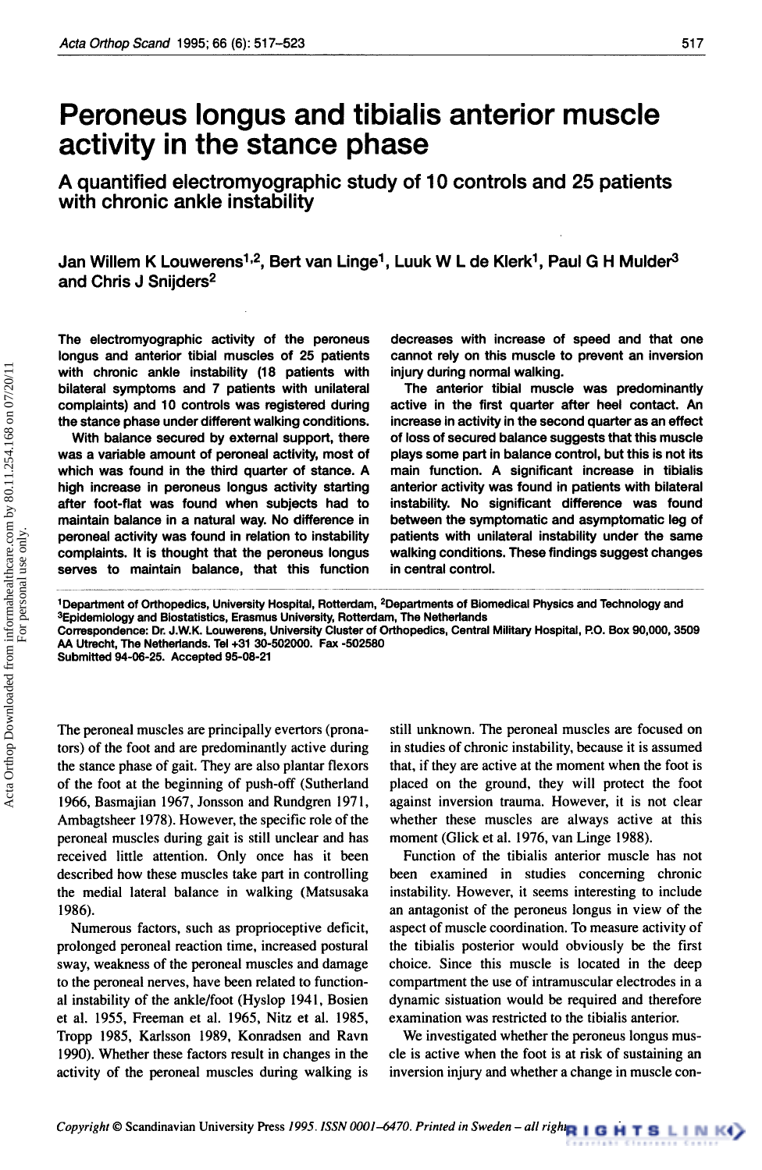# **Peroneus longus and tibialis anterior muscle activity in the stance phase**

**A quantified electromyographic study of 10 controls and 25 patients with chronic ankle instability** 

Jan Willem K Louwerens<sup>1,2</sup>, Bert van Linge<sup>1</sup>, Luuk W L de Klerk<sup>1</sup>, Paul G H Mulder<sup>3</sup> **and Chris J Snijders2** 

The electromyographic activity of the peroneus longus and anterior tibial muscles of **25** patients with chronic ankle instability **(18** patients with bilateral symptoms and **7** patients with unilateral complaints) and **10** controls was registered during the stance phase under different walking conditions.

With balance secured by external support, there was a variable amount of peroneal activity, most of which was found in the third quarter of stance. A high increase in peroneus longus activity starting after foot-flat was found when subjects had to maintain balance in a natural way. **No** difference in peroneal activity was found in relation to instability complaints. It is thought that the peroneus longus serves to maintain balance, that this function

decreases with increase of speed and that one cannot rely on this muscle to prevent an inversion injury during normal walking.

The anterior tibial muscle was predominantly active in the first quarter after heel contact. An increase in activity in the second quarter as an effect of **loss** of secured balance suggests that this muscle plays some part in balance control, but this is not its main function. A significant increase in tibialis anterior activity was found in patients with bilateral instability. **No** significant difference was found between the symptomatic and asymptomatic **leg** of patients with unilateral instability under the same walking conditions. These findings suggest changes in central control.

**'Department of Orthopedics, University Hospital, Rotterdam, \*Departments of Biomedical Physics and Technology and 3Epidemiology and Biostatistics, Erasmus University, Rotterdam, The Netherlands** 

**Correspondence: Dr. J.W.K. Louwerens, University Cluster of Orthopedics, Central Militaly Hospital, P.O. Box 90,000,3509 AA Utrecht, The Netherlands. Tel+31 30-502000. Fax -502580** 

**Submitted 94-06-25. Accepted 95-08-21** 

The peroneal muscles are principally evertors (pronators) of the foot and are predominantly active during the stance phase of gait. They are also plantar flexors of the foot at the beginning of push-off (Sutherland **1966,** Basmajian **1967,** Jonsson and Rundgren **197 1,**  Ambagtsheer **1978).** However, the specific role of the peroneal muscles during gait is still unclear and has received little attention. Only once has it been described how these muscles take part in controlling the medial lateral balance in walking (Matsusaka **1986).** 

Numerous factors, such as proprioceptive deficit, prolonged peroneal reaction time, increased postural sway, weakness of the peroneal muscles and damage to the peroneal nerves, have been related to functional instability of the ankle/foot (Hyslop **1941,** Bosien et al. **1955,** Freeman et al. **1965,** Nitz et al. **1985,**  Tropp **1985,** Karlsson **1989,** Konradsen and Ravn **1990).** Whether these factors result in changes in the activity of the peroneal muscles during walking is

still unknown. The peroneal muscles are focused on in studies of chronic instability, because it is assumed that, if they are active at the moment when the foot is placed on the ground, they will protect the foot against inversion trauma. However, it is not clear whether these muscles are always active at this moment (Glick et al. **1976,** van Linge **1988).** 

Function of the tibialis anterior muscle has not been examined in studies concerning chronic instability. However, it seems interesting to include an antagonist of the peroneus longus in view of the aspect of muscle coordination. To measure activity of the tibialis posterior would obviously be the first choice. Since this muscle is located in the deep compartment the use of intramuscular electrodes in a dynamic sistuation would be required and therefore examination was restricted to the tibialis anterior.

We investigated whether the peroneus longus muscle is active when the foot is at risk of sustaining **an**  inversion injury and whether a change in muscle con-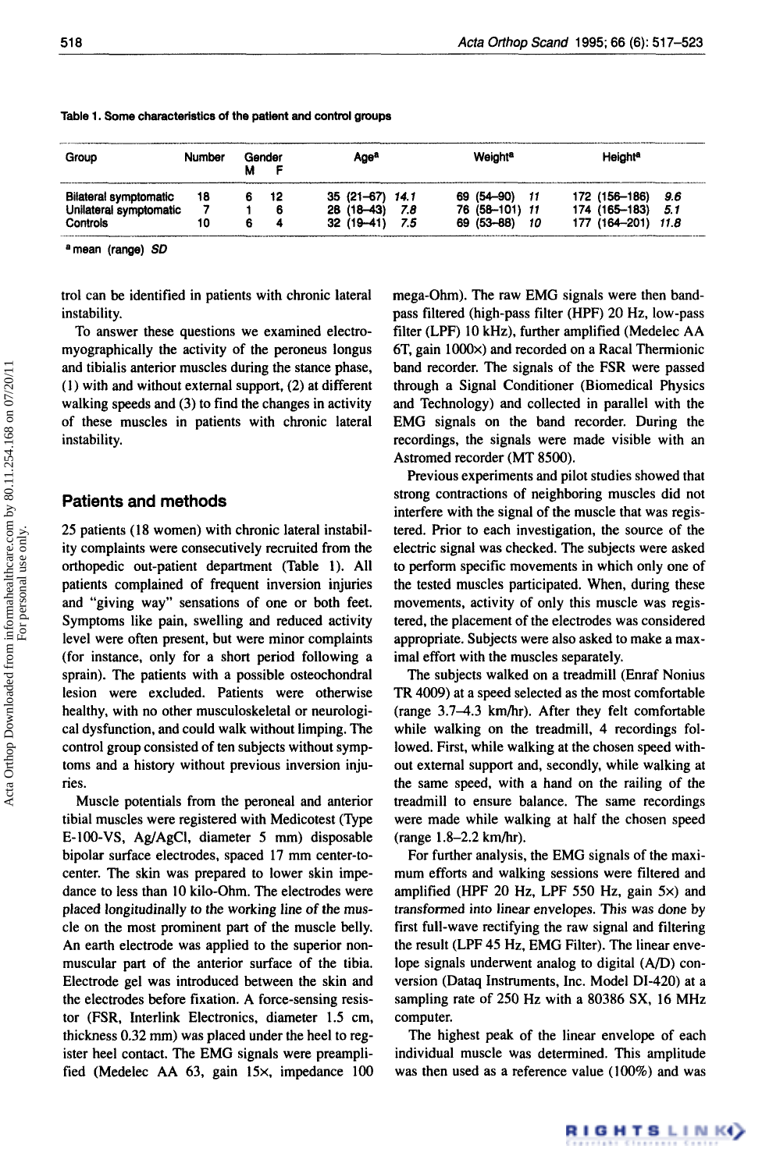| Group                  | Number | Gender | Ageª             |      | Weighta        |      | Height <sup>a</sup>  |
|------------------------|--------|--------|------------------|------|----------------|------|----------------------|
| Bilateral symptomatic  | 18     | 12     | $35(21-67)$ 14.1 |      | 69 (54–90)     |      | 172 (156-186)<br>9.6 |
| Unilateral symptomatic |        |        | $28(18-43)$      | 7.8  | 76 (58-101) 11 |      | 174 (165–183)<br>5.1 |
| Controls<br>.          | 10     |        | $32(19-41)$      | -7.5 | 69 (53-88)     | - 10 | 177 (164-201) 11.8   |

#### **Table 1. Some characteristics of the patient and control groups**

**amean (range)** *SD* 

trol can be identified in patients with chronic lateral instability.

To answer these questions we examined electromyographically the activity of the peroneus longus and tibialis anterior muscles during the stance phase, **(1)** with and without external support, (2) at different walking speeds and (3) to find the changes in activity of these muscles in patients with chronic lateral instability.

#### **Patients and methods**

Acta Orthop Downloaded from informahealthcare.com by 80.11.254.168 on 07/20/11<br>For personal use only. Acta Orthop Downloaded from informahealthcare.com by 80.11.254.168 on 07/20/11 For personal use only.

25 patients **(18** women) with chronic lateral instability complaints were consecutively recruited from the orthopedic out-patient department (Table **1).** All patients complained of frequent inversion injuries and "giving way" sensations of one or both feet. Symptoms like pain, swelling and reduced activity level were often present, but were minor complaints (for instance, only for a short period following a sprain). The patients with a possible osteochondral lesion were excluded. Patients were otherwise healthy, with no other musculoskeletal or neurological dysfunction, and could walk without limping. The control group consisted of ten subjects without symptoms and a history without previous inversion injuries.

Muscle potentials from the peroneal and anterior tibia1 muscles were registered with Medicotest (Type E-100-VS, Ag/AgCI, diameter *5* mm) disposable bipolar surface electrodes, spaced 17 mm center-tocenter. The skin was prepared to lower skin impedance to less than **10** kilo-Ohm. The electrodes were placed longitudinally to the working line of the muscle on the most prominent part of the muscle belly. An earth electrode was applied to the superior nonmuscular part of the anterior surface of the tibia. Electrode gel was introduced between the skin and the electrodes before fixation. A force-sensing resistor (FSR, Interlink Electronics, diameter **1.5** cm, thickness 0.32 mm) was placed under the heel to register heel contact. The EMG signals were preamplified (Medelec AA 63, gain **15x.** impedance 100 mega-Ohm). The raw EMG signals were then bandpass filtered (high-pass filter (HPF) 20 Hz, low-pass filter (LPF) 10 kHz), further amplified (Medelec AA 6T, gain **IOOOx)** and recorded on a Racal Themionic band recorder. The signals of the FSR were passed through a Signal Conditioner (Biomedical Physics and Technology) and collected in parallel with the EMG signals on the band recorder. During the recordings, the signals were made visible with an Astromed recorder (MT **8500).** 

Previous experiments and pilot studies showed that strong contractions of neighboring muscles did not interfere with the signal of the muscle that was registered. Prior to each investigation, the source of the electric signal was checked. The subjects were asked to perform specific movements in which only one of the tested muscles participated. When, during these movements, activity of only this muscle was registered, the placement of the electrodes was considered appropriate. Subjects were also asked to make a maximal effort with the muscles separately.

The subjects walked on a treadmill (Enraf Nonius TR 4009) at a speed selected as the most comfortable  $(range 3.7–4.3 km/hr)$ . After they felt comfortable while walking on the treadmill, 4 recordings followed. First, while walking at the chosen speed without external support and, secondly, while walking at the same speed, with a hand on the railing of the treadmill to ensure balance. The same recordings were made while walking at half the chosen speed (range 1.8-2.2 kmhr).

For further analysis, the EMG signals of the maximum efforts and walking sessions were filtered and amplified (HPF 20 Hz, LPF **550** Hz, gain **5x)** and transformed into linear envelopes. This was done by first full-wave rectifying the raw signal and filtering the result (LPF **45** Hz, EMG Filter). The linear envelope signals underwent analog to digital *(A/D)* conversion (Dataq Instruments, Inc. Model DI-420) at a sampling rate of 250 Hz with a 80386 **SX,** 16 MHz computer.

The highest peak of the linear envelope of each individual muscle was determined. This amplitude was then used as a reference value (100%) and was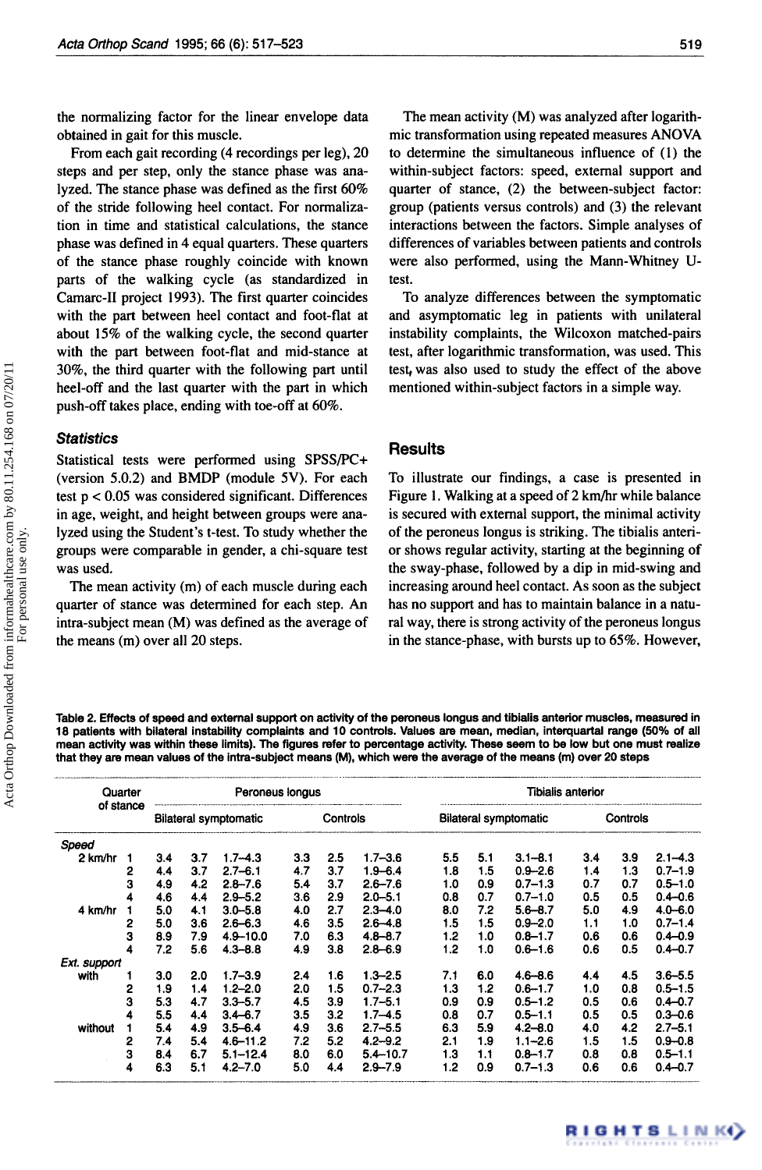the normalizing factor for the linear envelope data obtained in gait for this muscle.

From each gait recording **(4** recordings per leg), 20 steps and per step, only the stance phase was analyzed. The stance phase was defined as the first 60% of the stride following heel contact. For normalization in time and statistical calculations, the stance phase was defined in **4** equal quarters. These quarters of the stance phase roughly coincide with known parts of the walking cycle (as standardized in Camarc-I1 project 1993). The first quarter coincides with the part between heel contact and foot-flat at about **15%** of the walking cycle, the second quarter with the part between foot-flat and mid-stance at 30%, the third quarter with the following part until heel-off and the last quarter with the part in which push-off takes place, ending with toe-off at 60%.

#### *Statistics*

Statistical tests were performed using SPSS/PC+ (version 5.0.2) and BMDP (module **5V).** For each test p < 0.05 was considered significant. Differences in age, weight, and height between groups were analyzed using the Student's t-test. To study whether the groups were comparable in gender, a chi-square test was used.

The mean activity (m) of each muscle during each quarter of stance was determined for each step. *An*  intra-subject mean (M) was defined as the average of the means (m) over all 20 steps.

The mean activity (M) was analyzed after logarithmic transformation using repeated measures **ANOVA**  to determine the simultaneous influence of **(1)** the within-subject factors: speed, external support and quarter of stance, (2) the between-subject factor: group (patients versus controls) and (3) the relevant interactions between the factors. Simple analyses of differences of variables between patients and controls were also performed, using the Mann-Whitney **U**test.

To analyze differences between the symptomatic and asymptomatic leg in patients with unilateral instability complaints, the Wilcoxon matched-pairs test, after logarithmic transformation, was used. This test, was also used to study the effect of the above mentioned within-subject factors in a simple way.

## **Results**

To illustrate our findings, a case is presented in Figure **1.** Walking at a speed of 2 km/hr while balance is secured with external support, the minimal activity of the peroneus longus is striking. The tibialis anterior shows regular activity, starting at the beginning of the sway-phase, followed by a dip in mid-swing and increasing around heel contact. **As** soon as the subject has no support and has to maintain balance in a natural way, there is strong activity of the peroneus longus in the stance-phase, with bursts up to 65%. However,

**Table 2. Effects of speed and external support on activity of the peroneus longus and tibialis anterior muscles, measured in 18 patients with bilateral instability complaints and 10 controls. Values are mean, median, intequartai range (50% of all mean activity was within these limits). The figures refer to percentage activity. These seem to be low but one must realize that they are mean values of the intra-subject means (M), which were the average of the means (m) over 20 steps**  ~ ~ -~ \_\_ ~

| Quarter<br>of stance |   |                              |     | Peroneus longus |          |     |              | <b>Tibialis anterior</b>     |     |             |          |     |             |  |
|----------------------|---|------------------------------|-----|-----------------|----------|-----|--------------|------------------------------|-----|-------------|----------|-----|-------------|--|
|                      |   | <b>Bilateral symptomatic</b> |     |                 | Controls |     |              | <b>Bilateral symptomatic</b> |     |             | Controls |     |             |  |
| Speed                |   |                              |     |                 |          |     |              |                              |     |             |          |     |             |  |
| 2 km/hr              | 1 | 3.4                          | 3.7 | $1.7 - 4.3$     | 3.3      | 2.5 | $1.7 - 3.6$  | 5.5                          | 5.1 | $3.1 - 8.1$ | 3.4      | 3.9 | $2.1 - 4.3$ |  |
|                      | 2 | 4.4                          | 3.7 | $2.7 - 6.1$     | 4.7      | 3.7 | $1.9 - 6.4$  | 1.8                          | 1.5 | $0.9 - 2.6$ | 1.4      | 1.3 | $0.7 - 1.9$ |  |
|                      | 3 | 4.9                          | 4.2 | $2.8 - 7.6$     | 5.4      | 3.7 | $2.6 - 7.6$  | 1.0                          | 0.9 | $0.7 - 1.3$ | 0.7      | 0.7 | $0.5 - 1.0$ |  |
|                      | 4 | 4.6                          | 4.4 | $2.9 - 5.2$     | 3.6      | 2.9 | $2.0 - 5.1$  | 0.8                          | 0.7 | $0.7 - 1.0$ | 0.5      | 0.5 | $0.4 - 0.6$ |  |
| 4 km/hr              |   | 5.0                          | 4.1 | $3.0 - 5.8$     | 4.0      | 2.7 | $2.3 - 4.0$  | 8.0                          | 7.2 | $5.6 - 8.7$ | 5.0      | 4.9 | $4.0 - 6.0$ |  |
|                      | 2 | 5.0                          | 3.6 | $2.6 - 6.3$     | 4.6      | 3.5 | $2.6 - 4.8$  | 1.5                          | 1.5 | $0.9 - 2.0$ | 1.1      | 1.0 | $0.7 - 1.4$ |  |
|                      | 3 | 8.9                          | 7.9 | $4.9 - 10.0$    | 7.0      | 6.3 | $4.8 - 8.7$  | 1.2                          | 1.0 | $0.8 - 1.7$ | 0.6      | 0.6 | $0.4 - 0.9$ |  |
|                      | 4 | 7.2                          | 5.6 | $4.3 - 8.8$     | 4.9      | 3.8 | $2.8 - 6.9$  | 1.2                          | 1.0 | $0.6 - 1.6$ | 0.6      | 0.5 | $0.4 - 0.7$ |  |
| Ext. support         |   |                              |     |                 |          |     |              |                              |     |             |          |     |             |  |
| with                 |   | 3.0                          | 2.0 | $1.7 - 3.9$     | 2.4      | 1.6 | $1.3 - 2.5$  | 7.1                          | 6.0 | $4.6 - 8.6$ | 4.4      | 4.5 | $3.6 - 5.5$ |  |
|                      | 2 | 1.9                          | 1.4 | $1.2 - 2.0$     | 2.0      | 1.5 | $0.7 - 2.3$  | 1.3                          | 1.2 | $0.6 - 1.7$ | 1.0      | 0.8 | $0.5 - 1.5$ |  |
|                      | 3 | 5.3                          | 4.7 | $3.3 - 5.7$     | 4.5      | 3.9 | $1.7 - 5.1$  | 0.9                          | 0.9 | $0.5 - 1.2$ | 0.5      | 0.6 | $0.4 - 0.7$ |  |
|                      | 4 | 5.5                          | 4.4 | $3,4 - 6,7$     | 3.5      | 3.2 | $1.7 - 4.5$  | 0.8                          | 0.7 | $0.5 - 1.1$ | 0.5      | 0.5 | $0.3 - 0.6$ |  |
| without              | 1 | 5.4                          | 4.9 | $3.5 - 6.4$     | 4.9      | 3.6 | $2.7 - 5.5$  | 6.3                          | 5.9 | $4.2 - 8.0$ | 4.0      | 4.2 | $2.7 - 5.1$ |  |
|                      | 2 | 7.4                          | 5.4 | $4.6 - 11.2$    | 7.2      | 5.2 | $4.2 - 9.2$  | 2.1                          | 1.9 | $1.1 - 2.6$ | 1.5      | 1.5 | $0.9 - 0.8$ |  |
|                      | 3 | 8.4                          | 6.7 | $5.1 - 12.4$    | 8.0      | 6.0 | $5.4 - 10.7$ | 1.3                          | 1.1 | $0.8 - 1.7$ | 0.8      | 0.8 | $0.5 - 1.1$ |  |
|                      | 4 | 6.3                          | 5.1 | $4.2 - 7.0$     | 5.0      | 4.4 | $2.9 - 7.9$  | 1.2                          | 0.9 | $0.7 - 1.3$ | 0.6      | 0.6 | $0.4 - 0.7$ |  |

For personal use only.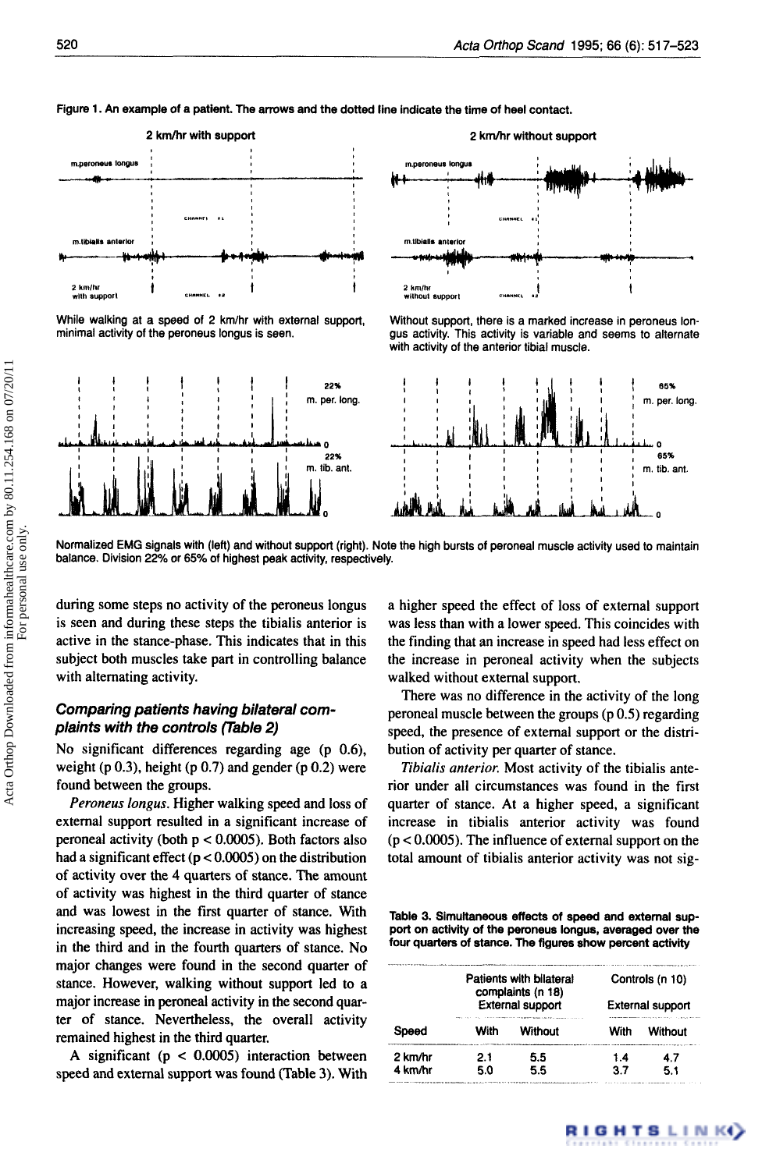





Without support, there is a marked increase in peroneus longus activity. This activity is variable and seems to alternate

with activity of the anterior tibial muscle.

While walking at a speed of 2 km/hr with external support minimal activity of the peroneus longus is seen.



Normalized EMG signals with (left) and without support (right). Note the high bursts of peroneal muscle activity used to maintain balance. Division 22% or 65% of highest peak activity, respectively.

during some steps no activity of the peroneus longus is seen and during these steps the tibialis anterior is active in the stance-phase. This indicates that in this subject both muscles take part in controlling balance with alternating activity.

# *Comparing patients having bilateral complaints with the controls (Table 2)*

No significant differences regarding age (p **0.6),**  weight (p  $0.3$ ), height (p  $0.7$ ) and gender (p  $0.2$ ) were found between the groups.

*Peroneus longus.* Higher walking speed and loss of external support resulted in a significant increase of peroneal activity (both p < *0.0005).* Both factors also had a significant effect (p < *0.0005)* on the distribution of activity over the **4** quarters of stance. The amount of activity was highest in the third quarter of stance and was lowest in the first quarter of stance. With increasing speed, the increase in activity was highest in the third and in the fourth quarters of stance. No major changes were found in the second quarter of stance. However, walking without support led to a major increase in peroneal activity in the second quarter of stance. Nevertheless, the overall activity remained highest in the third quarter.

A significant (p < *0.0005)* interaction between speed and external support was found (Table 3). With a higher speed the effect of loss of external support was less than with a lower speed. This coincides with the finding that an increase in speed had less effect on the increase in peroneal activity when the subjects walked without external support.

There was no difference in the activity of the long peroneal muscle between the groups (p 0.5) regarding speed, the presence of external support or the distribution of activity per quarter of stance.

*Tibidis anterior.* Most activity of the tibialis anterior under all circumstances was found in the first quarter of stance. At a higher speed, a significant increase in tibialis anterior activity was found (p < *0.0005).* The influence of external support on the total amount of tibialis anterior activity was not sig-

Table **3.** Simultaneous effects of speed and external support **on** activity of the peroneus longus, averaged over the four quarters of stance. The figures show percent activity

|         |      | Patients with bilateral<br>complaints (n 18) | Controls (n 10)<br><b>External support</b> |         |  |  |  |
|---------|------|----------------------------------------------|--------------------------------------------|---------|--|--|--|
| Soeed   |      | External support                             |                                            |         |  |  |  |
|         | With | Without                                      | With                                       | Without |  |  |  |
| 2 km/hr | 2.1  | 5.5                                          | 1.4                                        | 47      |  |  |  |
| 4 km/hr | 5.0  | 5.5                                          | 37                                         | 5.1     |  |  |  |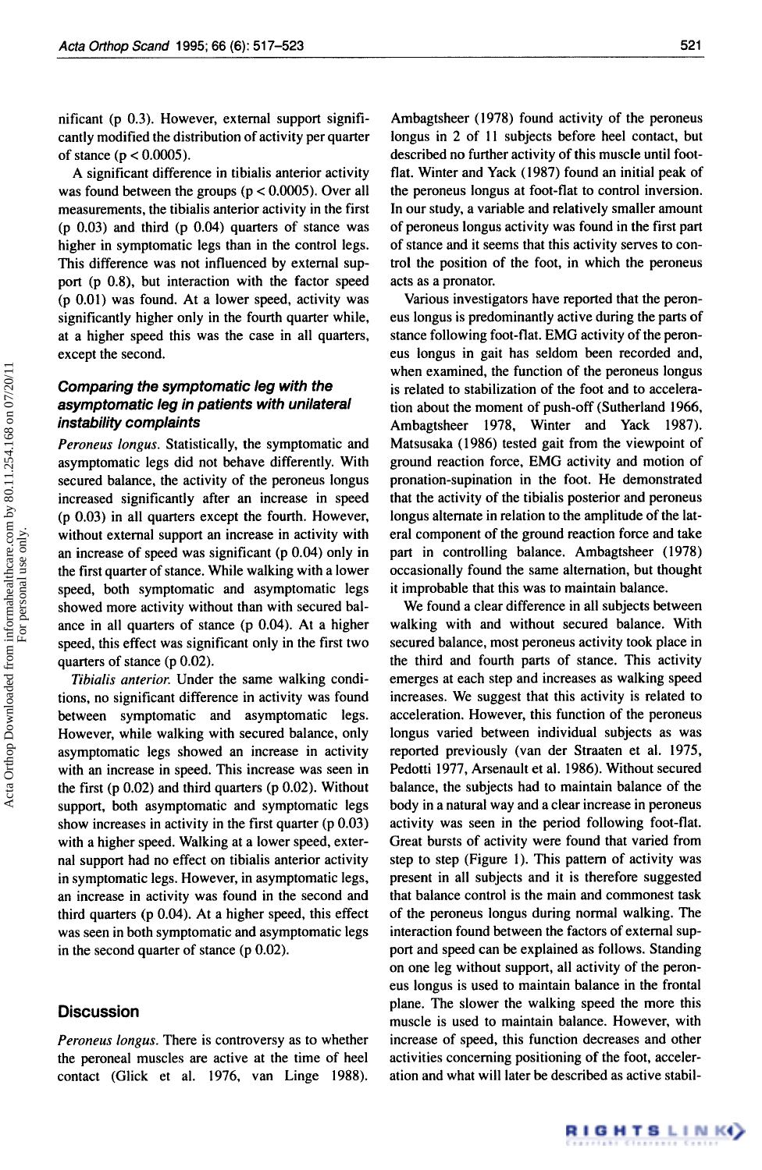nificant (p 0.3). However, external support significantly modified the distribution of activity per quarter of stance ( $p < 0.0005$ ).

A significant difference in tibialis anterior activity was found between the groups ( $p < 0.0005$ ). Over all measurements, the tibialis anterior activity in the first (p 0.03) and third (p 0.04) quarters of stance was higher in symptomatic legs than in the control legs. This difference was not influenced by external support (p 0.8). but interaction with the factor speed (p 0.01) was found. At a lower speed, activity was significantly higher only in the fourth quarter while, at a higher speed this was the case in all quarters, except the second.

# *Comparing the symptomatic leg with the asymptomatic leg in patients with unilateral instability complaints*

Peroneus longus. Statistically, the symptomatic and asymptomatic legs did not behave differently. With secured balance, the activity of the peroneus longus increased significantly after an increase in speed (p 0.03) in all quarters except the fourth. However, without external support an increase in activity with an increase of speed was significant (p 0.04) only in the first quarter of stance. While walking with a lower speed, both symptomatic and asymptomatic legs showed more activity without than with secured balance in all quarters of stance (p 0.04). At a higher speed, this effect was significant only in the first two quarters of stance (p 0.02).

*Tihiulis* anterior. Under the same walking conditions, no significant difference in activity was found between symptomatic and asymptomatic legs. However, while walking with secured balance, only asymptomatic legs showed an increase in activity with an increase in speed. This increase was seen in the first  $(p 0.02)$  and third quarters  $(p 0.02)$ . Without support, both asymptomatic and symptomatic legs show increases in activity in the first quarter (p 0.03) with a higher speed. Walking at a lower speed, external support had no effect on tibialis anterior activity in symptomatic legs. However, in asymptomatic legs, an increase in activity was found in the second and third quarters (p 0.04). At a higher speed, this effect was seen in both symptomatic and asymptomatic legs in the second quarter of stance (p 0.02).

## **Discussion**

Peroneus longus. There is controversy as to whether the peroneal muscles are active at the time of heel contact (Click et al. 1976, van Linge 1988).

Ambagtsheer (1978) found activity of the peroneus longus in 2 of **11** subjects before heel contact, but described no further activity of this muscle until footflat. Winter and Yack (1987) found an initial peak of the peroneus longus at foot-flat to control inversion. In our study, a variable and relatively smaller amount of peroneus longus activity was found in the first part of stance and it seems that this activity serves to control the position of the foot, in which the peroneus acts as a pronator.

Various investigators have reported that the peroneus longus is predominantly active during the parts of stance following foot-flat. EMG activity of the peroneus longus in gait has seldom been recorded and, when examined, the function of the peroneus longus is related to stabilization of the foot and to acceleration about the moment of push-off (Sutherland 1966, Ambagtsheer 1978, Winter and Yack 1987). Matsusaka **(1** 986) tested gait from the viewpoint of ground reaction force, EMG activity and motion of pronation-supination in the foot. He demonstrated that the activity of the tibialis posterior and peroneus longus alternate in relation to the amplitude of the lateral component of the ground reaction force and take part in controlling balance. Ambagtsheer (1978) occasionally found the same alternation, but thought it improbable that this was to maintain balance.

We found a clear difference in all subjects between walking with and without secured balance. With secured balance, most peroneus activity took place in the third and fourth parts of stance. This activity emerges at each step and increases as walking speed increases. We suggest that this activity is related to acceleration. However, this function of the peroneus longus varied between individual subjects as was reported previously (van der Straaten et al. 1975, Pedotti 1977, Arsenault et al. 1986). Without secured balance, the subjects had to maintain balance of the body in a natural way and a clear increase in peroneus activity was seen in the period following foot-flat. Great bursts of activity were found that varied from step to step (Figure I). This pattern of activity was present in all subjects and it is therefore suggested that balance control is the main and commonest task of the peroneus longus during normal walking. The interaction found between the factors of external support and speed can be explained as follows. Standing on one leg without support, all activity of the peroneus longus is used to maintain balance in the frontal plane. The slower the walking speed the more this muscle is used to maintain balance. However, with increase of speed, this function decreases and other activities concerning positioning of the foot, acceleration and what will later be described as active stabil-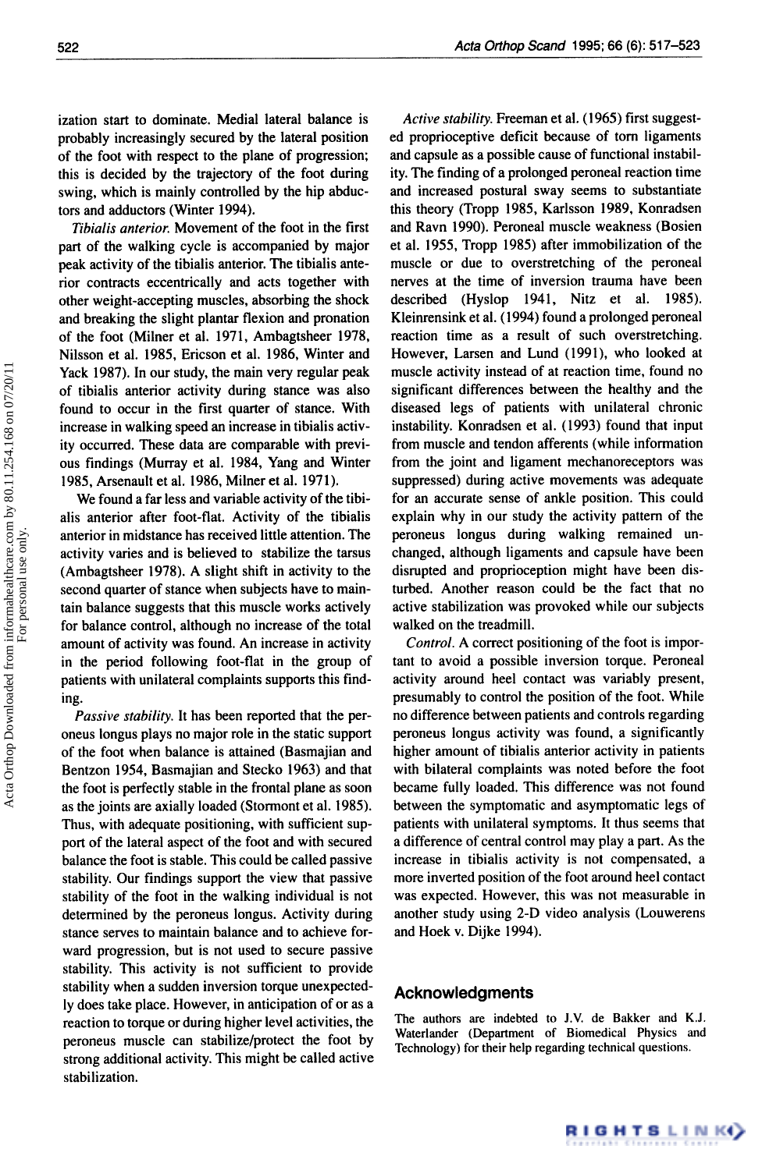ization start to dominate. Medial lateral balance is probably increasingly secured by the lateral position of the foot with respect to the plane of progression; this is decided by the trajectory of the foot during swing, which is mainly controlled by the hip abductors and adductors (Winter **1994).** 

*Tibialis anterior.* Movement of the foot in the first part of the walking cycle is accompanied by major peak activity of the tibialis anterior. The tibialis anterior contracts eccentrically and acts together with other weight-accepting muscles, absorbing the shock and breaking the slight plantar flexion and pronation of the foot (Milner et al. **1971,** Ambagtsheer **1978,**  Nilsson et al. **1985,** Ericson et al. **1986,** Winter and Yack **1987).** In our study, the main very regular peak of tibialis anterior activity during stance was also found to occur in the first quarter of stance. With increase in walking speed an increase in tibialis activity occurred. These data are comparable with previous findings (Murray et al. **1984,** Yang and Winter **1985,** Arsenault et al. **1986,** Milner et al. **1971).** 

We found a far less and variable activity of the tibialis anterior after foot-flat. Activity of the tibialis anterior in midstance has received little attention. The activity varies and is believed to stabilize the tarsus (Ambagtsheer **1978).** A slight shift in activity to the second quarter of stance when subjects have to maintain balance suggests that this muscle works actively for balance control, although no increase of the total amount of activity was found. An increase in activity in the period following foot-flat in the group of patients with unilateral complaints supports this finding.

*Passive stability.* It has been reported that the peroneus longus plays no major role in the static support of the foot when balance is attained (Basmajian and Bentzon **1954,** Basmajian and Stecko **1963)** and that the foot is perfectly stable in the frontal plane as soon as the joints are axially loaded (Stormont et al. **1985).**  Thus, with adequate positioning, with sufficient support of the lateral aspect of the foot and with secured balance the foot is stable. This could be called passive stability. Our findings support the view that passive stability of the foot in the walking individual is not determined by the peroneus longus. Activity during stance serves to maintain balance and to achieve forward progression, but is not used to secure passive stability. This activity is not sufficient to provide stability when a sudden inversion torque unexpectedly does take place. However, in anticipation of or as a reaction to torque or during higher level activities, the peroneus muscle can stabilize/protect the foot by strong additional activity. This might be called active stabilization.

*Active stability.* Freeman et al. **(1965)** first suggested proprioceptive deficit because of tom ligaments and capsule as a possible cause of functional instability. The finding of a prolonged peroneal reaction time and increased postural sway seems to substantiate this theory (Tropp **1985,** Karlsson **1989,** Konradsen and Ravn **1990).** Peroneal muscle weakness (Bosien et al. **1955,** Tropp **1985)** after immobilization of the muscle or due to overstretching of the peroneal nerves at the time of inversion trauma have been described (Hyslop **1941,** Nitz et al. **1985).**  Kleinrensink et al. **(1994)** found a prolonged peroneal reaction time as a result of such overstretching. However, Larsen and Lund **(1991),** who looked at muscle activity instead of at reaction time, found no significant differences between the healthy and the diseased legs of patients with unilateral chronic instability. Konradsen et al. **(1993)** found that input from muscle and tendon afferents (while information from the joint and ligament mechanoreceptors was suppressed) during active movements was adequate for an accurate sense of ankle position. This could explain why in our study the activity pattern of the peroneus longus during walking remained unchanged, although ligaments and capsule have been disrupted and proprioception might have been disturbed. Another reason could be the fact that no active stabilization was provoked while our subjects walked on the treadmill.

*Control.* A correct positioning of the foot is important to avoid a possible inversion torque. Peroneal activity around heel contact was variably present, presumably to control the position of the foot. While no difference between patients and controls regarding peroneus longus activity was found, a significantly higher amount of tibialis anterior activity in patients with bilateral complaints was noted before the foot became fully loaded. This difference was not found between the symptomatic and asymptomatic legs of patients with unilateral symptoms. It thus seems that a difference of central control may play a part. As the increase in tibialis activity is not compensated, a more inverted position of the foot around heel contact was expected. However, this was not measurable in another study using 2-D video analysis (Louwerens and Hoek v. Dijke **1994).** 

### **Acknowledgments**

**The authors are indebted to J.V. de Bakker and K.J. Waterlander (Department of Biomedical Physics and Technology) for their help regarding technical questions.** 

RIGHTSLINK()